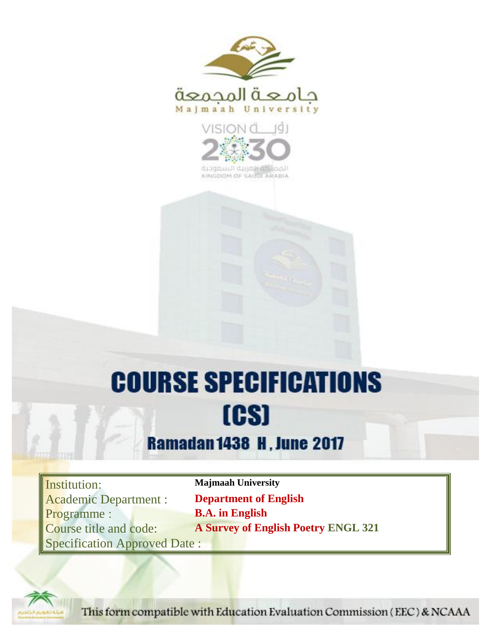



KINGDOM OF SAUDI ARABIA

# **COURSE SPECIFICATIONS** [CS]

## **Ramadan 1438 H, June 2017**

Institution: **Majmaah University** Academic Department : **Department of English** Programme : **B.A. in English** Specification Approved Date :

Course title and code: **A Survey of English Poetry ENGL 321**



This form compatible with Education Evaluation Commission (EEC) & NCAAA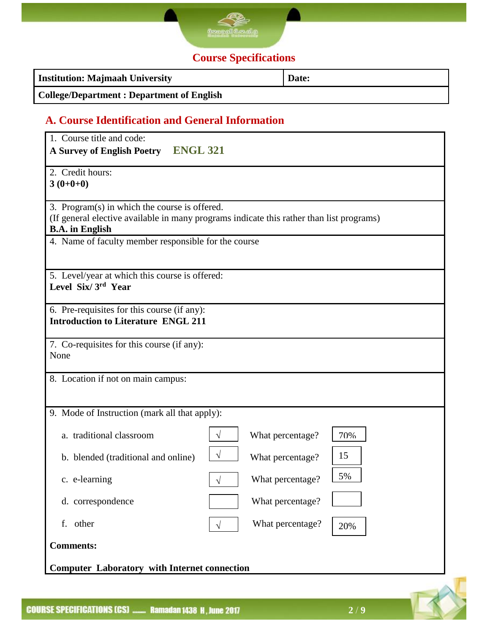

### **Course Specifications**

| <b>Institution: Majmaah University</b>           | Date: |
|--------------------------------------------------|-------|
| <b>College/Department: Department of English</b> |       |

#### **A. Course Identification and General Information**

| 1. Course title and code:<br><b>ENGL 321</b><br><b>A Survey of English Poetry</b>         |                                                                                          |
|-------------------------------------------------------------------------------------------|------------------------------------------------------------------------------------------|
| 2. Credit hours:<br>$3(0+0+0)$                                                            |                                                                                          |
| 3. Program(s) in which the course is offered.<br><b>B.A.</b> in English                   | (If general elective available in many programs indicate this rather than list programs) |
| 4. Name of faculty member responsible for the course                                      |                                                                                          |
| 5. Level/year at which this course is offered:<br>Level Six/3rd Year                      |                                                                                          |
| 6. Pre-requisites for this course (if any):<br><b>Introduction to Literature ENGL 211</b> |                                                                                          |
| 7. Co-requisites for this course (if any):<br>None                                        |                                                                                          |
| 8. Location if not on main campus:                                                        |                                                                                          |
| 9. Mode of Instruction (mark all that apply):                                             |                                                                                          |
| a. traditional classroom                                                                  | What percentage?<br>70%<br>$\sqrt{ }$                                                    |
| b. blended (traditional and online)                                                       | $\sqrt{ }$<br>15<br>What percentage?                                                     |
| c. e-learning                                                                             | 5%<br>What percentage?<br>V                                                              |
| d. correspondence                                                                         | What percentage?                                                                         |
| f. other                                                                                  | What percentage?<br>20%                                                                  |
| <b>Comments:</b>                                                                          |                                                                                          |
| <b>Computer Laboratory with Internet connection</b>                                       |                                                                                          |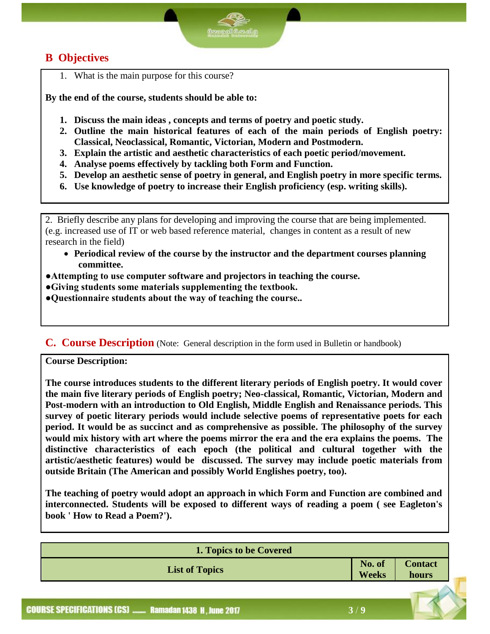#### **B Objectives**

1. What is the main purpose for this course?

**By the end of the course, students should be able to:**

- **1. Discuss the main ideas , concepts and terms of poetry and poetic study.**
- **2. Outline the main historical features of each of the main periods of English poetry: Classical, Neoclassical, Romantic, Victorian, Modern and Postmodern.**
- **3. Explain the artistic and aesthetic characteristics of each poetic period/movement.**
- **4. Analyse poems effectively by tackling both Form and Function.**
- **5. Develop an aesthetic sense of poetry in general, and English poetry in more specific terms.**
- **6. Use knowledge of poetry to increase their English proficiency (esp. writing skills).**

2. Briefly describe any plans for developing and improving the course that are being implemented. (e.g. increased use of IT or web based reference material, changes in content as a result of new research in the field)

- **Periodical review of the course by the instructor and the department courses planning committee.**
- **●Attempting to use computer software and projectors in teaching the course.**
- **●Giving students some materials supplementing the textbook.**
- **●Questionnaire students about the way of teaching the course..**

#### **C. Course Description** (Note: General description in the form used in Bulletin or handbook)

**Course Description:**

**The course introduces students to the different literary periods of English poetry. It would cover the main five literary periods of English poetry; Neo-classical, Romantic, Victorian, Modern and Post-modern with an introduction to Old English, Middle English and Renaissance periods. This survey of poetic literary periods would include selective poems of representative poets for each period. It would be as succinct and as comprehensive as possible. The philosophy of the survey would mix history with art where the poems mirror the era and the era explains the poems. The distinctive characteristics of each epoch (the political and cultural together with the artistic/aesthetic features) would be discussed. The survey may include poetic materials from outside Britain (The American and possibly World Englishes poetry, too).**

**The teaching of poetry would adopt an approach in which Form and Function are combined and interconnected. Students will be exposed to different ways of reading a poem ( see Eagleton's book ' How to Read a Poem?').**

| 1. Topics to be Covered |                        |                         |
|-------------------------|------------------------|-------------------------|
| <b>List of Topics</b>   | No. of<br><b>Weeks</b> | <b>Contact</b><br>hours |
|                         |                        |                         |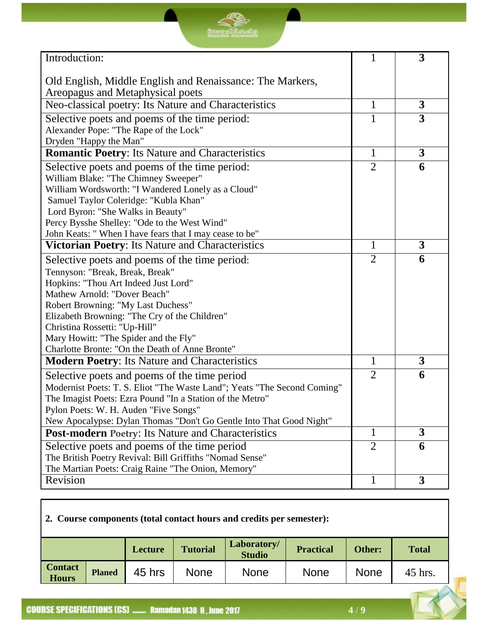| Introduction:                                                            | 1              | 3 |
|--------------------------------------------------------------------------|----------------|---|
|                                                                          |                |   |
| Old English, Middle English and Renaissance: The Markers,                |                |   |
| Areopagus and Metaphysical poets                                         |                |   |
| Neo-classical poetry: Its Nature and Characteristics                     | 1              | 3 |
| Selective poets and poems of the time period:                            | 1              | 3 |
| Alexander Pope: "The Rape of the Lock"                                   |                |   |
| Dryden "Happy the Man"                                                   |                |   |
| <b>Romantic Poetry: Its Nature and Characteristics</b>                   | $\mathbf{1}$   | 3 |
| Selective poets and poems of the time period:                            | $\overline{2}$ | 6 |
| William Blake: "The Chimney Sweeper"                                     |                |   |
| William Wordsworth: "I Wandered Lonely as a Cloud"                       |                |   |
| Samuel Taylor Coleridge: "Kubla Khan"                                    |                |   |
| Lord Byron: "She Walks in Beauty"                                        |                |   |
| Percy Bysshe Shelley: "Ode to the West Wind"                             |                |   |
| John Keats: "When I have fears that I may cease to be"                   |                |   |
| Victorian Poetry: Its Nature and Characteristics                         | 1              | 3 |
| Selective poets and poems of the time period:                            | $\overline{2}$ | 6 |
| Tennyson: "Break, Break, Break"                                          |                |   |
| Hopkins: "Thou Art Indeed Just Lord"                                     |                |   |
| Mathew Arnold: "Dover Beach"                                             |                |   |
| Robert Browning: "My Last Duchess"                                       |                |   |
| Elizabeth Browning: "The Cry of the Children"                            |                |   |
| Christina Rossetti: "Up-Hill"                                            |                |   |
| Mary Howitt: "The Spider and the Fly"                                    |                |   |
| Charlotte Bronte: "On the Death of Anne Bronte"                          |                |   |
| <b>Modern Poetry: Its Nature and Characteristics</b>                     | 1              | 3 |
| Selective poets and poems of the time period                             | $\overline{2}$ | 6 |
| Modernist Poets: T. S. Eliot "The Waste Land"; Yeats "The Second Coming" |                |   |
| The Imagist Poets: Ezra Pound "In a Station of the Metro"                |                |   |
| Pylon Poets: W. H. Auden "Five Songs"                                    |                |   |
| New Apocalypse: Dylan Thomas "Don't Go Gentle Into That Good Night"      |                |   |
| <b>Post-modern Poetry: Its Nature and Characteristics</b>                | 1              | 3 |
| Selective poets and poems of the time period                             | $\overline{2}$ | 6 |
| The British Poetry Revival: Bill Griffiths "Nomad Sense"                 |                |   |
| The Martian Poets: Craig Raine "The Onion, Memory"                       |                |   |

<u> Se</u>

#### **2. Course components (total contact hours and credits per semester):**

|                                |               | Lecture | <b>Tutorial</b> | Laboratory/<br><b>Studio</b> | <b>Practical</b> | Other: | <b>Total</b> |
|--------------------------------|---------------|---------|-----------------|------------------------------|------------------|--------|--------------|
| <b>Contact</b><br><b>Hours</b> | <b>Planed</b> | 45 hrs  | <b>None</b>     | <b>None</b>                  | <b>None</b>      | None   | 45 hrs.      |

Revision 1 3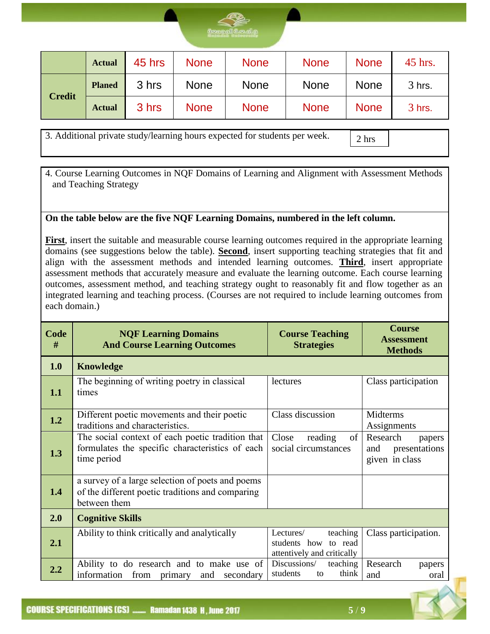

|               | <b>Actual</b> | 45 hrs | <b>None</b> | <b>None</b> | <b>None</b> | <b>None</b> | 45 hrs.  |
|---------------|---------------|--------|-------------|-------------|-------------|-------------|----------|
|               | <b>Planed</b> | 3 hrs  | <b>None</b> | <b>None</b> | <b>None</b> | <b>None</b> | $3$ hrs. |
| <b>Credit</b> | <b>Actual</b> | 3 hrs  | <b>None</b> | <b>None</b> | <b>None</b> | <b>None</b> | $3$ hrs. |

3. Additional private study/learning hours expected for students per week.

2 hrs

4. Course Learning Outcomes in NQF Domains of Learning and Alignment with Assessment Methods and Teaching Strategy

#### **On the table below are the five NQF Learning Domains, numbered in the left column.**

**First**, insert the suitable and measurable course learning outcomes required in the appropriate learning domains (see suggestions below the table). **Second**, insert supporting teaching strategies that fit and align with the assessment methods and intended learning outcomes. **Third**, insert appropriate assessment methods that accurately measure and evaluate the learning outcome. Each course learning outcomes, assessment method, and teaching strategy ought to reasonably fit and flow together as an integrated learning and teaching process. (Courses are not required to include learning outcomes from each domain.)

| <b>Code</b><br># | <b>NQF Learning Domains</b><br><b>And Course Learning Outcomes</b>                                                   | <b>Course Teaching</b><br><b>Strategies</b>                                    | <b>Course</b><br><b>Assessment</b><br><b>Methods</b>         |
|------------------|----------------------------------------------------------------------------------------------------------------------|--------------------------------------------------------------------------------|--------------------------------------------------------------|
| 1.0              | <b>Knowledge</b>                                                                                                     |                                                                                |                                                              |
| 1.1              | The beginning of writing poetry in classical<br>times                                                                | lectures                                                                       | Class participation                                          |
| 1.2              | Different poetic movements and their poetic<br>traditions and characteristics.                                       | Class discussion                                                               | Midterms<br>Assignments                                      |
| 1.3              | The social context of each poetic tradition that<br>formulates the specific characteristics of each<br>time period   | of  <br>Close<br>reading<br>social circumstances                               | Research<br>papers<br>presentations<br>and<br>given in class |
| 1.4              | a survey of a large selection of poets and poems<br>of the different poetic traditions and comparing<br>between them |                                                                                |                                                              |
| 2.0              | <b>Cognitive Skills</b>                                                                                              |                                                                                |                                                              |
| 2.1              | Ability to think critically and analytically                                                                         | teaching<br>Lectures/<br>students how<br>to read<br>attentively and critically | Class participation.                                         |
| 2.2              | Ability to do research and to make use of<br>information<br>from<br>primary<br>secondary<br>and                      | Discussions/<br>teaching<br>students<br>think<br>to                            | Research<br>papers<br>and<br>oral                            |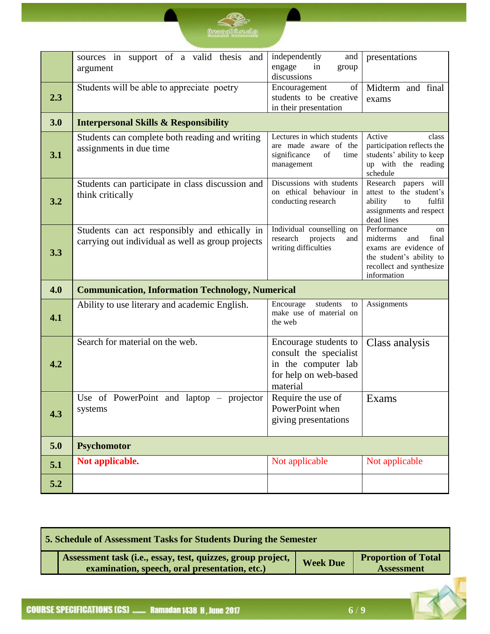|     | sources in support of a valid thesis and<br>argument                                               | independently<br>and<br>engage<br>in<br>group                                                               | presentations                                                                                                                                 |  |
|-----|----------------------------------------------------------------------------------------------------|-------------------------------------------------------------------------------------------------------------|-----------------------------------------------------------------------------------------------------------------------------------------------|--|
|     |                                                                                                    | discussions                                                                                                 |                                                                                                                                               |  |
| 2.3 | Students will be able to appreciate poetry                                                         | of<br>Encouragement<br>students to be creative<br>in their presentation                                     | Midterm and final<br>exams                                                                                                                    |  |
| 3.0 | <b>Interpersonal Skills &amp; Responsibility</b>                                                   |                                                                                                             |                                                                                                                                               |  |
| 3.1 | Students can complete both reading and writing<br>assignments in due time                          | Lectures in which students<br>are made aware of the<br>significance<br>time<br>of<br>management             | Active<br>class<br>participation reflects the<br>students' ability to keep<br>up with the reading<br>schedule                                 |  |
| 3.2 | Students can participate in class discussion and<br>think critically                               | Discussions with students<br>on ethical behaviour in<br>conducting research                                 | Research papers will<br>attest to the student's<br>ability<br>fulfil<br>to<br>assignments and respect<br>dead lines                           |  |
| 3.3 | Students can act responsibly and ethically in<br>carrying out individual as well as group projects | Individual counselling on<br>research<br>projects<br>and<br>writing difficulties                            | Performance<br>on<br>midterms<br>and<br>final<br>exams are evidence of<br>the student's ability to<br>recollect and synthesize<br>information |  |
| 4.0 | <b>Communication, Information Technology, Numerical</b>                                            |                                                                                                             |                                                                                                                                               |  |
| 4.1 | Ability to use literary and academic English.                                                      | students<br>Encourage<br>to<br>make use of material on<br>the web                                           | Assignments                                                                                                                                   |  |
| 4.2 | Search for material on the web.                                                                    | Encourage students to<br>consult the specialist<br>in the computer lab<br>for help on web-based<br>material | Class analysis                                                                                                                                |  |
| 4.3 | Use of PowerPoint and laptop – projector<br>systems                                                | Require the use of<br>PowerPoint when<br>giving presentations                                               | Exams                                                                                                                                         |  |
| 5.0 | <b>Psychomotor</b>                                                                                 |                                                                                                             |                                                                                                                                               |  |
| 5.1 | Not applicable.                                                                                    | Not applicable                                                                                              | Not applicable                                                                                                                                |  |
| 5.2 |                                                                                                    |                                                                                                             |                                                                                                                                               |  |

**Committee** 

| 5. Schedule of Assessment Tasks for Students During the Semester |                                                                                                              |                 |                                                 |
|------------------------------------------------------------------|--------------------------------------------------------------------------------------------------------------|-----------------|-------------------------------------------------|
|                                                                  | Assessment task (i.e., essay, test, quizzes, group project,<br>examination, speech, oral presentation, etc.) | <b>Week Due</b> | <b>Proportion of Total</b><br><b>Assessment</b> |
|                                                                  |                                                                                                              |                 |                                                 |

**COURSE SPECIFICATIONS (CS) ........ Ramadan 1438 H, June 2017**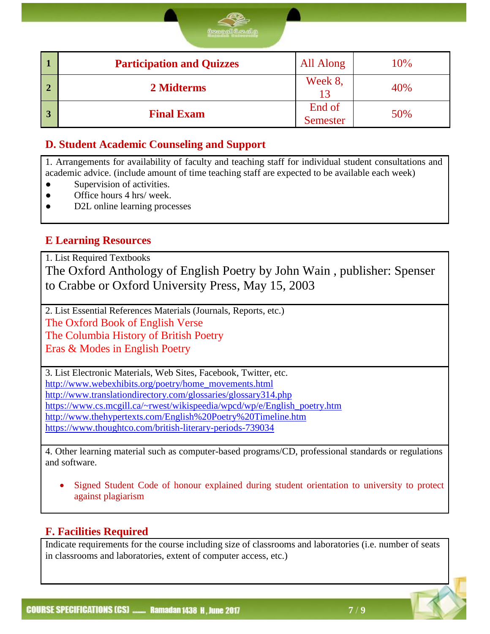| <b>Participation and Quizzes</b> | All Along                 | 10% |
|----------------------------------|---------------------------|-----|
| 2 Midterms                       | Week 8,<br>13             | 40% |
| <b>Final Exam</b>                | End of<br><b>Semester</b> | 50% |

#### **D. Student Academic Counseling and Support**

1. Arrangements for availability of faculty and teaching staff for individual student consultations and academic advice. (include amount of time teaching staff are expected to be available each week)

- Supervision of activities.
- Office hours 4 hrs/ week.
- D2L online learning processes

#### **E Learning Resources**

1. List Required Textbooks

The Oxford Anthology of English Poetry by John Wain , publisher: Spenser to Crabbe or Oxford University Press, May 15, 2003

2. List Essential References Materials (Journals, Reports, etc.) The Oxford Book of English Verse

The Columbia History of British Poetry

Eras & Modes in English Poetry

3. List Electronic Materials, Web Sites, Facebook, Twitter, etc. [http://www.webexhibits.org/poetry/home\\_movements.html](http://www.webexhibits.org/poetry/home_movements.html) <http://www.translationdirectory.com/glossaries/glossary314.php> [https://www.cs.mcgill.ca/~rwest/wikispeedia/wpcd/wp/e/English\\_poetry.htm](https://www.cs.mcgill.ca/~rwest/wikispeedia/wpcd/wp/e/English_poetry.htm) <http://www.thehypertexts.com/English%20Poetry%20Timeline.htm> <https://www.thoughtco.com/british-literary-periods-739034>

4. Other learning material such as computer-based programs/CD, professional standards or regulations and software.

 Signed Student Code of honour explained during student orientation to university to protect against plagiarism

#### **F. Facilities Required**

Indicate requirements for the course including size of classrooms and laboratories (i.e. number of seats in classrooms and laboratories, extent of computer access, etc.)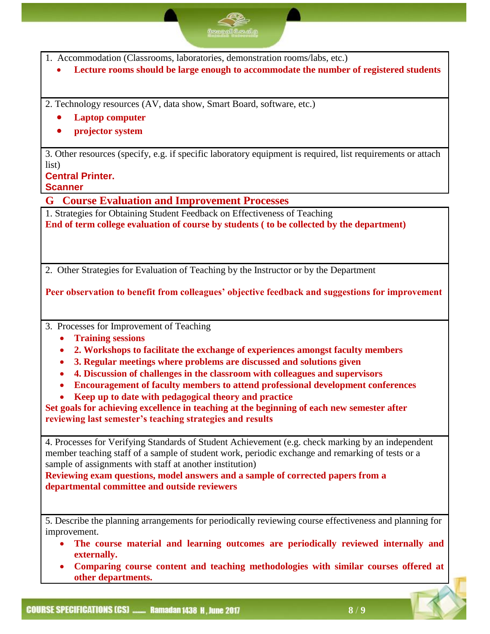| வேறைவி வேகித                                                                                                                                                                                                                                                                                                                                                                                                                                                                                                                                                                                                                |
|-----------------------------------------------------------------------------------------------------------------------------------------------------------------------------------------------------------------------------------------------------------------------------------------------------------------------------------------------------------------------------------------------------------------------------------------------------------------------------------------------------------------------------------------------------------------------------------------------------------------------------|
| 1. Accommodation (Classrooms, laboratories, demonstration rooms/labs, etc.)<br>Lecture rooms should be large enough to accommodate the number of registered students                                                                                                                                                                                                                                                                                                                                                                                                                                                        |
| 2. Technology resources (AV, data show, Smart Board, software, etc.)<br><b>Laptop computer</b><br>projector system                                                                                                                                                                                                                                                                                                                                                                                                                                                                                                          |
| 3. Other resources (specify, e.g. if specific laboratory equipment is required, list requirements or attach<br>list)<br><b>Central Printer.</b><br><b>Scanner</b>                                                                                                                                                                                                                                                                                                                                                                                                                                                           |
| <b>Course Evaluation and Improvement Processes</b><br>G.                                                                                                                                                                                                                                                                                                                                                                                                                                                                                                                                                                    |
| 1. Strategies for Obtaining Student Feedback on Effectiveness of Teaching<br>End of term college evaluation of course by students (to be collected by the department)                                                                                                                                                                                                                                                                                                                                                                                                                                                       |
| 2. Other Strategies for Evaluation of Teaching by the Instructor or by the Department                                                                                                                                                                                                                                                                                                                                                                                                                                                                                                                                       |
| Peer observation to benefit from colleagues' objective feedback and suggestions for improvement                                                                                                                                                                                                                                                                                                                                                                                                                                                                                                                             |
| 3. Processes for Improvement of Teaching<br><b>Training sessions</b><br>2. Workshops to facilitate the exchange of experiences amongst faculty members<br>3. Regular meetings where problems are discussed and solutions given<br>4. Discussion of challenges in the classroom with colleagues and supervisors<br><b>Encouragement of faculty members to attend professional development conferences</b><br>Keep up to date with pedagogical theory and practice<br>Set goals for achieving excellence in teaching at the beginning of each new semester after<br>reviewing last semester's teaching strategies and results |
| 4. Processes for Verifying Standards of Student Achievement (e.g. check marking by an independent<br>member teaching staff of a sample of student work, periodic exchange and remarking of tests or a<br>sample of assignments with staff at another institution)<br>Reviewing exam questions, model answers and a sample of corrected papers from a<br>departmental committee and outside reviewers                                                                                                                                                                                                                        |
| 5. Describe the planning arrangements for periodically reviewing course effectiveness and planning for<br>improvement.<br>The course material and learning outcomes are periodically reviewed internally and<br>externally.<br>Comparing course content and teaching methodologies with similar courses offered at<br>$\bullet$<br>other departments.                                                                                                                                                                                                                                                                       |

Q